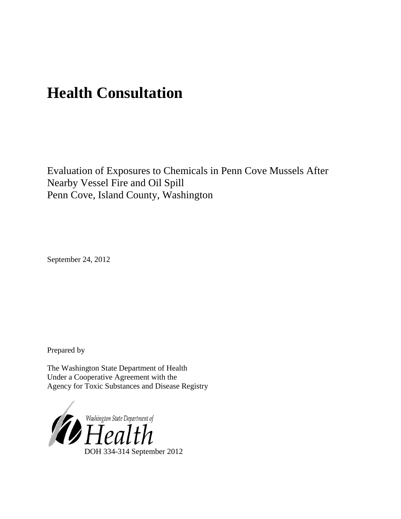# **Health Consultation**

Evaluation of Exposures to Chemicals in Penn Cove Mussels After Nearby Vessel Fire and Oil Spill Penn Cove, Island County, Washington

September 24, 2012

Prepared by

The Washington State Department of Health Under a Cooperative Agreement with the Agency for Toxic Substances and Disease Registry

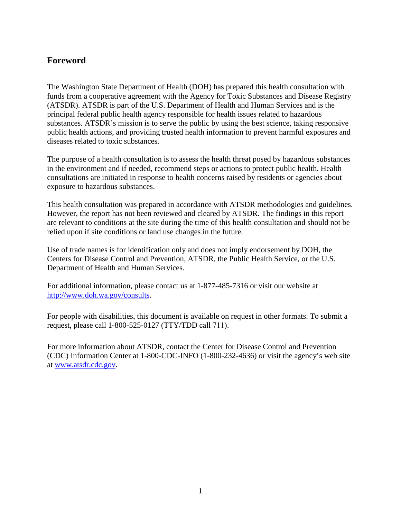## <span id="page-1-0"></span>**Foreword**

The Washington State Department of Health (DOH) has prepared this health consultation with funds from a cooperative agreement with the Agency for Toxic Substances and Disease Registry (ATSDR). ATSDR is part of the U.S. Department of Health and Human Services and is the principal federal public health agency responsible for health issues related to hazardous substances. ATSDR's mission is to serve the public by using the best science, taking responsive public health actions, and providing trusted health information to prevent harmful exposures and diseases related to toxic substances.

The purpose of a health consultation is to assess the health threat posed by hazardous substances in the environment and if needed, recommend steps or actions to protect public health. Health consultations are initiated in response to health concerns raised by residents or agencies about exposure to hazardous substances.

This health consultation was prepared in accordance with ATSDR methodologies and guidelines. However, the report has not been reviewed and cleared by ATSDR. The findings in this report are relevant to conditions at the site during the time of this health consultation and should not be relied upon if site conditions or land use changes in the future.

Use of trade names is for identification only and does not imply endorsement by DOH, the Centers for Disease Control and Prevention, ATSDR, the Public Health Service, or the U.S. Department of Health and Human Services.

For additional information, please contact us at 1-877-485-7316 or visit our website at [http://www.doh.wa.gov/consults.](http://www.doh.wa.gov/consults)

For people with disabilities, this document is available on request in other formats. To submit a request, please call 1-800-525-0127 (TTY/TDD call 711).

For more information about ATSDR, contact the Center for Disease Control and Prevention (CDC) Information Center at 1-800-CDC-INFO (1-800-232-4636) or visit the agency's web site at [www.atsdr.cdc.gov.](http://www.atsdr.cdc.gov/)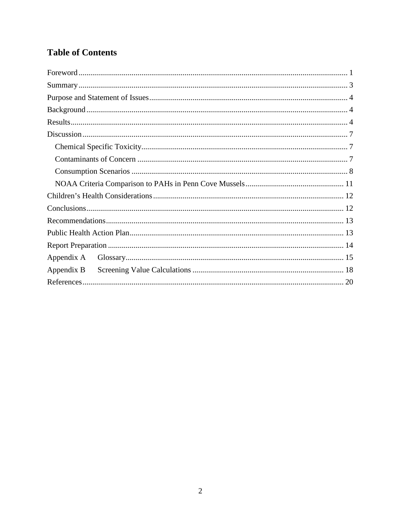## **Table of Contents**

| Appendix B |
|------------|
|            |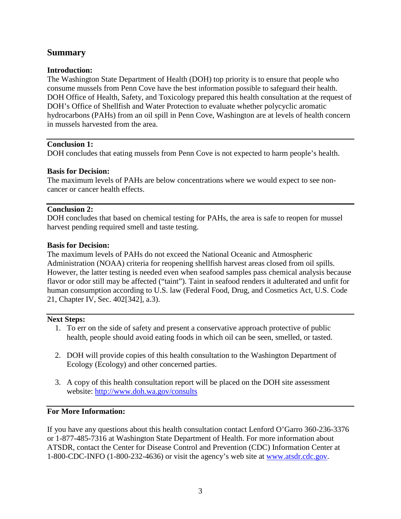## <span id="page-3-0"></span>**Summary**

#### **Introduction:**

The Washington State Department of Health (DOH) top priority is to ensure that people who consume mussels from Penn Cove have the best information possible to safeguard their health. DOH Office of Health, Safety, and Toxicology prepared this health consultation at the request of DOH's Office of Shellfish and Water Protection to evaluate whether polycyclic aromatic hydrocarbons (PAHs) from an oil spill in Penn Cove, Washington are at levels of health concern in mussels harvested from the area.

#### **Conclusion 1:**

DOH concludes that eating mussels from Penn Cove is not expected to harm people's health.

#### **Basis for Decision:**

The maximum levels of PAHs are below concentrations where we would expect to see noncancer or cancer health effects.

#### **Conclusion 2:**

DOH concludes that based on chemical testing for PAHs, the area is safe to reopen for mussel harvest pending required smell and taste testing.

#### **Basis for Decision:**

The maximum levels of PAHs do not exceed the National Oceanic and Atmospheric Administration (NOAA) criteria for reopening shellfish harvest areas closed from oil spills. However, the latter testing is needed even when seafood samples pass chemical analysis because flavor or odor still may be affected ("taint"). Taint in seafood renders it adulterated and unfit for human consumption according to U.S. law (Federal Food, Drug, and Cosmetics Act, U.S. Code 21, Chapter IV, Sec. 402[342], a.3).

#### **Next Steps:**

- 1. To err on the side of safety and present a conservative approach protective of public health, people should avoid eating foods in which oil can be seen, smelled, or tasted.
- 2. DOH will provide copies of this health consultation to the Washington Department of Ecology (Ecology) and other concerned parties.
- 3. A copy of this health consultation report will be placed on the DOH site assessment website:<http://www.doh.wa.gov/consults>

#### **For More Information:**

If you have any questions about this health consultation contact Lenford O'Garro 360-236-3376 or 1-877-485-7316 at Washington State Department of Health. For more information about ATSDR, contact the Center for Disease Control and Prevention (CDC) Information Center at 1-800-CDC-INFO (1-800-232-4636) or visit the agency's web site at [www.atsdr.cdc.gov.](http://www.atsdr.cdc.gov/)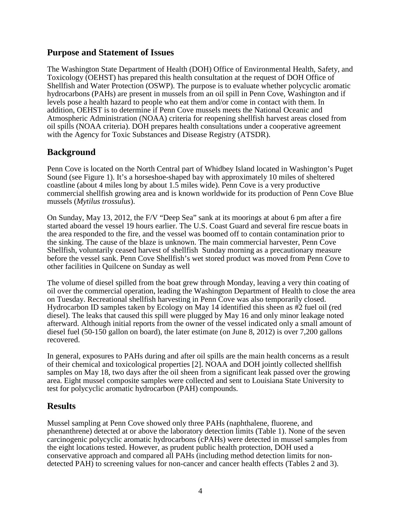### <span id="page-4-0"></span>**Purpose and Statement of Issues**

The Washington State Department of Health (DOH) Office of Environmental Health, Safety, and Toxicology (OEHST) has prepared this health consultation at the request of DOH Office of Shellfish and Water Protection (OSWP). The purpose is to evaluate whether polycyclic aromatic hydrocarbons (PAHs) are present in mussels from an oil spill in Penn Cove, Washington and if levels pose a health hazard to people who eat them and/or come in contact with them. In addition, OEHST is to determine if Penn Cove mussels meets the National Oceanic and Atmospheric Administration (NOAA) criteria for reopening shellfish harvest areas closed from oil spills (NOAA criteria). DOH prepares health consultations under a cooperative agreement with the Agency for Toxic Substances and Disease Registry (ATSDR).

## <span id="page-4-1"></span>**Background**

Penn Cove is located on the North Central part of Whidbey Island located in Washington's Puget Sound (see Figure 1). It's a horseshoe-shaped bay with approximately 10 miles of sheltered coastline (about 4 miles long by about 1.5 miles wide). Penn Cove is a very productive commercial shellfish growing area and is known worldwide for its production of Penn Cove Blue mussels (*Mytilus trossulus*).

On Sunday, May 13, 2012, the F/V "Deep Sea" sank at its moorings at about 6 pm after a fire started aboard the vessel 19 hours earlier. The U.S. Coast Guard and several fire rescue boats in the area responded to the fire, and the vessel was boomed off to contain contamination prior to the sinking. The cause of the blaze is unknown. The main commercial harvester, Penn Cove Shellfish, voluntarily ceased harvest of shellfish Sunday morning as a precautionary measure before the vessel sank. Penn Cove Shellfish's wet stored product was moved from Penn Cove to other facilities in Quilcene on Sunday as well

The volume of diesel spilled from the boat grew through Monday, leaving a very thin coating of oil over the commercial operation, leading the Washington Department of Health to close the area on Tuesday. Recreational shellfish harvesting in Penn Cove was also temporarily closed. Hydrocarbon ID samples taken by Ecology on May 14 identified this sheen as #2 fuel oil (red diesel). The leaks that caused this spill were plugged by May 16 and only minor leakage noted afterward. Although initial reports from the owner of the vessel indicated only a small amount of diesel fuel (50-150 gallon on board), the later estimate (on June 8, 2012) is over 7,200 gallons recovered.

In general, exposures to PAHs during and after oil spills are the main health concerns as a result of their chemical and toxicological properties [2]. NOAA and DOH jointly collected shellfish samples on May 18, two days after the oil sheen from a significant leak passed over the growing area. Eight mussel composite samples were collected and sent to Louisiana State University to test for polycyclic aromatic hydrocarbon (PAH) compounds.

## <span id="page-4-2"></span>**Results**

Mussel sampling at Penn Cove showed only three PAHs (naphthalene, fluorene, and phenanthrene) detected at or above the laboratory detection limits (Table 1). None of the seven carcinogenic polycyclic aromatic hydrocarbons (cPAHs) were detected in mussel samples from the eight locations tested. However, as prudent public health protection, DOH used a conservative approach and compared all PAHs (including method detection limits for nondetected PAH) to screening values for non-cancer and cancer health effects (Tables 2 and 3).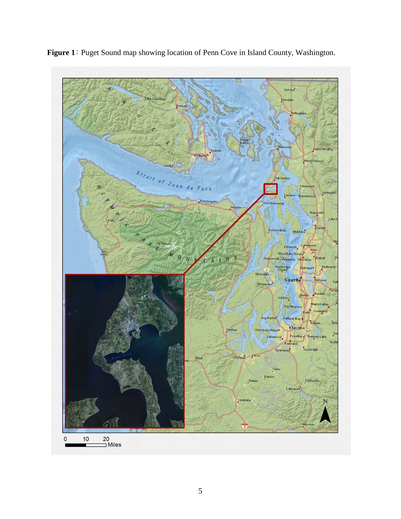

**Figure 1**: Puget Sound map showing location of Penn Cove in Island County, Washington.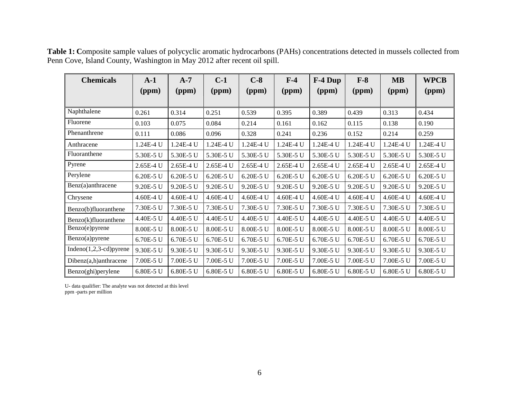| <b>Chemicals</b>         | $A-1$     | $A-7$     | $C-1$     | $C-8$     | $F-4$     | F-4 Dup   | $F-8$     | <b>MB</b> | <b>WPCB</b> |
|--------------------------|-----------|-----------|-----------|-----------|-----------|-----------|-----------|-----------|-------------|
|                          | (ppm)     | (ppm)     | (ppm)     | (ppm)     | (ppm)     | (ppm)     | (ppm)     | (ppm)     | (ppm)       |
| Naphthalene              | 0.261     | 0.314     | 0.251     | 0.539     | 0.395     | 0.389     | 0.439     | 0.313     | 0.434       |
| Fluorene                 | 0.103     | 0.075     | 0.084     | 0.214     | 0.161     | 0.162     | 0.115     | 0.138     | 0.190       |
| Phenanthrene             | 0.111     | 0.086     | 0.096     | 0.328     | 0.241     | 0.236     | 0.152     | 0.214     | 0.259       |
| Anthracene               | 1.24E-4 U | 1.24E-4 U | 1.24E-4 U | 1.24E-4 U | 1.24E-4 U | 1.24E-4 U | 1.24E-4 U | 1.24E-4 U | 1.24E-4 U   |
| Fluoranthene             | 5.30E-5 U | 5.30E-5 U | 5.30E-5 U | 5.30E-5 U | 5.30E-5 U | 5.30E-5 U | 5.30E-5 U | 5.30E-5 U | 5.30E-5 U   |
| Pyrene                   | 2.65E-4 U | 2.65E-4 U | 2.65E-4 U | 2.65E-4 U | 2.65E-4 U | 2.65E-4 U | 2.65E-4 U | 2.65E-4 U | 2.65E-4 U   |
| Perylene                 | 6.20E-5 U | 6.20E-5 U | 6.20E-5 U | 6.20E-5 U | 6.20E-5 U | 6.20E-5 U | 6.20E-5 U | 6.20E-5 U | 6.20E-5 U   |
| Benz(a)anthracene        | 9.20E-5 U | 9.20E-5 U | 9.20E-5 U | 9.20E-5 U | 9.20E-5 U | 9.20E-5 U | 9.20E-5 U | 9.20E-5 U | 9.20E-5 U   |
| Chrysene                 | 4.60E-4 U | 4.60E-4 U | 4.60E-4 U | 4.60E-4 U | 4.60E-4 U | 4.60E-4 U | 4.60E-4 U | 4.60E-4 U | 4.60E-4 U   |
| Benzo(b)fluoranthene     | 7.30E-5 U | 7.30E-5 U | 7.30E-5 U | 7.30E-5 U | 7.30E-5 U | 7.30E-5 U | 7.30E-5 U | 7.30E-5 U | 7.30E-5 U   |
| Benzo(k)fluoranthene     | 4.40E-5 U | 4.40E-5 U | 4.40E-5 U | 4.40E-5 U | 4.40E-5 U | 4.40E-5 U | 4.40E-5 U | 4.40E-5 U | 4.40E-5 U   |
| Benzo(e)pyrene           | 8.00E-5 U | 8.00E-5 U | 8.00E-5 U | 8.00E-5 U | 8.00E-5 U | 8.00E-5 U | 8.00E-5 U | 8.00E-5 U | 8.00E-5 U   |
| Benzo(a)pyrene           | 6.70E-5 U | 6.70E-5 U | 6.70E-5 U | 6.70E-5 U | 6.70E-5 U | 6.70E-5 U | 6.70E-5 U | 6.70E-5 U | 6.70E-5 U   |
| $Indeno(1,2,3-cd)pyrene$ | 9.30E-5 U | 9.30E-5 U | 9.30E-5 U | 9.30E-5 U | 9.30E-5 U | 9.30E-5 U | 9.30E-5 U | 9.30E-5 U | 9.30E-5 U   |
| Dibenz(a,h)anthracene    | 7.00E-5 U | 7.00E-5 U | 7.00E-5 U | 7.00E-5 U | 7.00E-5 U | 7.00E-5 U | 7.00E-5 U | 7.00E-5 U | 7.00E-5 U   |
| Benzo(ghi)perylene       | 6.80E-5 U | 6.80E-5 U | 6.80E-5 U | 6.80E-5 U | 6.80E-5 U | 6.80E-5 U | 6.80E-5 U | 6.80E-5 U | 6.80E-5 U   |

Table 1: Composite sample values of polycyclic aromatic hydrocarbons (PAHs) concentrations detected in mussels collected from Penn Cove, Island County, Washington in May 2012 after recent oil spill.

U- data qualifier: The analyte was not detected at this level ppm -parts per million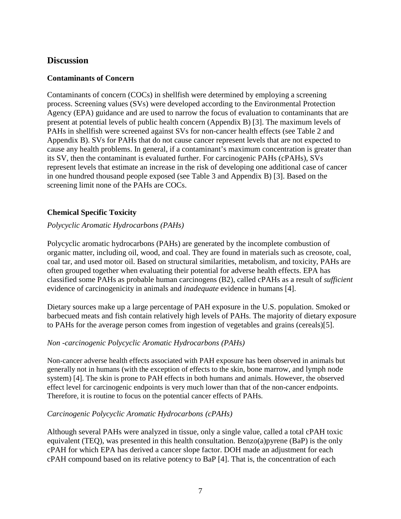## <span id="page-7-0"></span>**Discussion**

#### <span id="page-7-1"></span>**Contaminants of Concern**

Contaminants of concern (COCs) in shellfish were determined by employing a screening process. Screening values (SVs) were developed according to the Environmental Protection Agency (EPA) guidance and are used to narrow the focus of evaluation to contaminants that are present at potential levels of public health concern (Appendix B) [3]. The maximum levels of PAHs in shellfish were screened against SVs for non-cancer health effects (see Table 2 and Appendix B). SVs for PAHs that do not cause cancer represent levels that are not expected to cause any health problems. In general, if a contaminant's maximum concentration is greater than its SV, then the contaminant is evaluated further. For carcinogenic PAHs (cPAHs), SVs represent levels that estimate an increase in the risk of developing one additional case of cancer in one hundred thousand people exposed (see Table 3 and Appendix B) [3]. Based on the screening limit none of the PAHs are COCs.

#### **Chemical Specific Toxicity**

#### *Polycyclic Aromatic Hydrocarbons (PAHs)*

Polycyclic aromatic hydrocarbons (PAHs) are generated by the incomplete combustion of organic matter, including oil, wood, and coal. They are found in materials such as creosote, coal, coal tar, and used motor oil. Based on structural similarities, metabolism, and toxicity, PAHs are often grouped together when evaluating their potential for adverse health effects. EPA has classified some PAHs as probable human carcinogens (B2), called cPAHs as a result of *sufficient*  evidence of carcinogenicity in animals and *inadequate* evidence in humans [4].

Dietary sources make up a large percentage of PAH exposure in the U.S. population. Smoked or barbecued meats and fish contain relatively high levels of PAHs. The majority of dietary exposure to PAHs for the average person comes from ingestion of vegetables and grains (cereals)[5].

#### *Non -carcinogenic Polycyclic Aromatic Hydrocarbons (PAHs)*

Non-cancer adverse health effects associated with PAH exposure has been observed in animals but generally not in humans (with the exception of effects to the skin, bone marrow, and lymph node system) [4]. The skin is prone to PAH effects in both humans and animals. However, the observed effect level for carcinogenic endpoints is very much lower than that of the non-cancer endpoints. Therefore, it is routine to focus on the potential cancer effects of PAHs.

#### *Carcinogenic Polycyclic Aromatic Hydrocarbons (cPAHs)*

Although several PAHs were analyzed in tissue, only a single value, called a total cPAH toxic equivalent (TEQ), was presented in this health consultation. Benzo(a)pyrene (BaP) is the only cPAH for which EPA has derived a cancer slope factor. DOH made an adjustment for each cPAH compound based on its relative potency to BaP [4]. That is, the concentration of each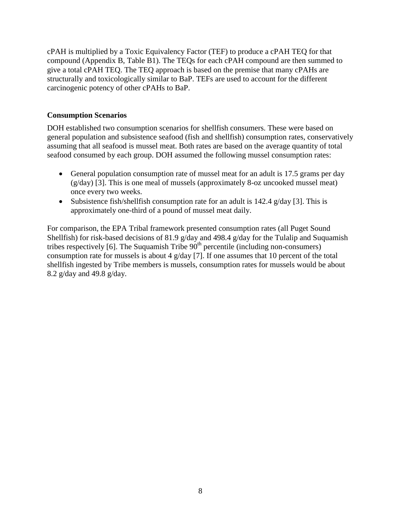cPAH is multiplied by a Toxic Equivalency Factor (TEF) to produce a cPAH TEQ for that compound (Appendix B, Table B1). The TEQs for each cPAH compound are then summed to give a total cPAH TEQ. The TEQ approach is based on the premise that many cPAHs are structurally and toxicologically similar to BaP. TEFs are used to account for the different carcinogenic potency of other cPAHs to BaP.

#### <span id="page-8-0"></span>**Consumption Scenarios**

DOH established two consumption scenarios for shellfish consumers. These were based on general population and subsistence seafood (fish and shellfish) consumption rates, conservatively assuming that all seafood is mussel meat. Both rates are based on the average quantity of total seafood consumed by each group. DOH assumed the following mussel consumption rates:

- General population consumption rate of mussel meat for an adult is 17.5 grams per day  $(g/day)$  [3]. This is one meal of mussels (approximately 8-oz uncooked mussel meat) once every two weeks.
- Subsistence fish/shellfish consumption rate for an adult is 142.4 g/day [3]. This is approximately one-third of a pound of mussel meat daily.

For comparison, the EPA Tribal framework presented consumption rates (all Puget Sound Shellfish) for risk-based decisions of 81.9 g/day and 498.4 g/day for the Tulalip and Suquamish tribes respectively [6]. The Suquamish Tribe  $90<sup>th</sup>$  percentile (including non-consumers) consumption rate for mussels is about 4 g/day [7]. If one assumes that 10 percent of the total shellfish ingested by Tribe members is mussels, consumption rates for mussels would be about 8.2 g/day and 49.8 g/day.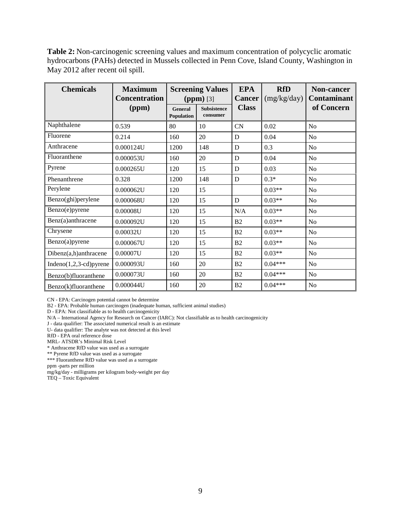**Table 2:** Non-carcinogenic screening values and maximum concentration of polycyclic aromatic hydrocarbons (PAHs) detected in Mussels collected in Penn Cove, Island County, Washington in May 2012 after recent oil spill.

| <b>Chemicals</b>         | <b>Maximum</b><br><b>Concentration</b> | <b>Screening Values</b><br>$(ppm)$ [3] |                                | <b>EPA</b><br><b>Cancer</b> | <b>RfD</b><br>(mg/kg/day) | <b>Non-cancer</b><br><b>Contaminant</b> |
|--------------------------|----------------------------------------|----------------------------------------|--------------------------------|-----------------------------|---------------------------|-----------------------------------------|
|                          | (ppm)                                  | <b>General</b><br>Population           | <b>Subsistence</b><br>consumer | <b>Class</b>                |                           | of Concern                              |
| Naphthalene              | 0.539                                  | 80                                     | 10                             | <b>CN</b>                   | 0.02                      | N <sub>o</sub>                          |
| Fluorene                 | 0.214                                  | 160                                    | 20                             | D                           | 0.04                      | N <sub>0</sub>                          |
| Anthracene               | 0.000124U                              | 1200                                   | 148                            | D                           | 0.3                       | N <sub>0</sub>                          |
| Fluoranthene             | 0.000053U                              | 160                                    | 20                             | D                           | 0.04                      | N <sub>0</sub>                          |
| Pyrene                   | 0.000265U                              | 120                                    | 15                             | D                           | 0.03                      | N <sub>0</sub>                          |
| Phenanthrene             | 0.328                                  | 1200                                   | 148                            | D                           | $0.3*$                    | N <sub>o</sub>                          |
| Perylene                 | 0.000062U                              | 120                                    | 15                             |                             | $0.03**$                  | N <sub>0</sub>                          |
| Benzo(ghi)perylene       | 0.000068U                              | 120                                    | 15                             | D                           | $0.03**$                  | N <sub>0</sub>                          |
| Benzo(e)pyrene           | 0.00008U                               | 120                                    | 15                             | N/A                         | $0.03**$                  | N <sub>o</sub>                          |
| Benz(a)anthracene        | 0.000092U                              | 120                                    | 15                             | B <sub>2</sub>              | $0.03**$                  | N <sub>o</sub>                          |
| Chrysene                 | 0.00032U                               | 120                                    | 15                             | B2                          | $0.03**$                  | N <sub>o</sub>                          |
| Benzo(a)pyrene           | 0.000067U                              | 120                                    | 15                             | B <sub>2</sub>              | $0.03**$                  | N <sub>0</sub>                          |
| Dibenz(a,h)anthracene    | 0.00007U                               | 120                                    | 15                             | B <sub>2</sub>              | $0.03**$                  | N <sub>o</sub>                          |
| $Indeno(1,2,3-cd)pyrene$ | 0.000093U                              | 160                                    | 20                             | B2                          | $0.04***$                 | N <sub>o</sub>                          |
| Benzo(b)fluoranthene     | 0.000073U                              | 160                                    | 20                             | B <sub>2</sub>              | $0.04***$                 | N <sub>o</sub>                          |
| Benzo(k)fluoranthene     | 0.000044U                              | 160                                    | 20                             | B <sub>2</sub>              | $0.04***$                 | No                                      |

CN - EPA: Carcinogen potential cannot be determine

B2 - EPA: Probable human carcinogen (inadequate human, sufficient animal studies)

D - EPA: Not classifiable as to health carcinogenicity

N/A – International Agency for Research on Cancer (IARC): Not classifiable as to health carcinogenicity

J - data qualifier: The associated numerical result is an estimate

U- data qualifier: The analyte was not detected at this level

RfD - EPA oral reference dose

MRL- ATSDR's Minimal Risk Level \* Anthracene RfD value was used as a surrogate

\*\* Pyrene RfD value was used as a surrogate

\*\*\* Fluoranthene RfD value was used as a surrogate

ppm -parts per million

mg/kg/day - milligrams per kilogram body-weight per day

TEQ – Toxic Equivalent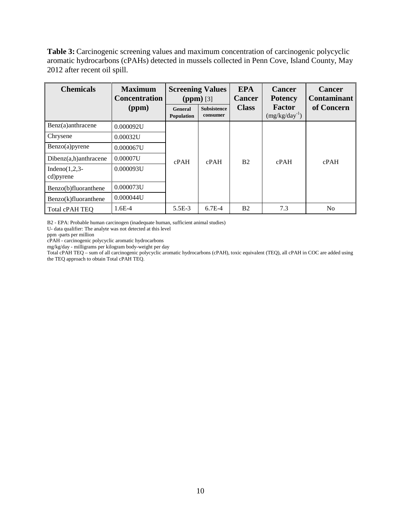**Table 3:** Carcinogenic screening values and maximum concentration of carcinogenic polycyclic aromatic hydrocarbons (cPAHs) detected in mussels collected in Penn Cove, Island County, May 2012 after recent oil spill.

| <b>Chemicals</b>                | <b>Maximum</b><br><b>Concentration</b> | <b>Screening Values</b><br>$(ppm)$ [3] |                                | <b>EPA</b><br><b>Cancer</b> | <b>Cancer</b><br><b>Potency</b> | <b>Cancer</b><br><b>Contaminant</b> |
|---------------------------------|----------------------------------------|----------------------------------------|--------------------------------|-----------------------------|---------------------------------|-------------------------------------|
|                                 | (ppm)                                  | <b>General</b><br>Population           | <b>Subsistence</b><br>consumer | <b>Class</b>                | Factor<br>$(mg/kg/day^{-1})$    | of Concern                          |
| Benz(a)anthracene               | 0.000092U                              |                                        |                                |                             |                                 |                                     |
| Chrysene                        | 0.00032U                               |                                        |                                |                             |                                 |                                     |
| Benzo(a)pyrene                  | 0.000067U                              |                                        |                                |                             |                                 |                                     |
| $Dibenz(a,h)$ anthracene        | 0.00007U                               | cPAH                                   | cPAH                           | B <sub>2</sub>              | cPAH                            | cPAH                                |
| Indeno $(1,2,3$ -<br>cd) pyrene | 0.000093U                              |                                        |                                |                             |                                 |                                     |
| Benzo(b)fluoranthene            | 0.000073U                              |                                        |                                |                             |                                 |                                     |
| Benzo(k)fluoranthene            | 0.000044U                              |                                        |                                |                             |                                 |                                     |
| Total cPAH TEQ                  | $1.6E-4$                               | $5.5E-3$                               | $6.7E-4$                       | B <sub>2</sub>              | 7.3                             | N <sub>0</sub>                      |

B2 - EPA: Probable human carcinogen (inadequate human, sufficient animal studies)

U- data qualifier: The analyte was not detected at this level

ppm -parts per million

cPAH - carcinogenic polycyclic aromatic hydrocarbons

mg/kg/day - milligrams per kilogram body-weight per day

Total cPAH TEQ – sum of all carcinogenic polycyclic aromatic hydrocarbons (cPAH), toxic equivalent (TEQ), all cPAH in COC are added using the TEQ approach to obtain Total cPAH TEQ.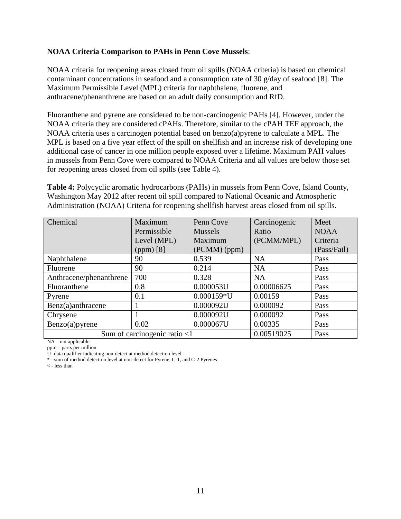#### <span id="page-11-0"></span>**NOAA Criteria Comparison to PAHs in Penn Cove Mussels**:

NOAA criteria for reopening areas closed from oil spills (NOAA criteria) is based on chemical contaminant concentrations in seafood and a consumption rate of 30 g/day of seafood [8]. The Maximum Permissible Level (MPL) criteria for naphthalene, fluorene, and anthracene/phenanthrene are based on an adult daily consumption and RfD.

Fluoranthene and pyrene are considered to be non-carcinogenic PAHs [4]. However, under the NOAA criteria they are considered cPAHs. Therefore, similar to the cPAH TEF approach, the NOAA criteria uses a carcinogen potential based on benzo(a)pyrene to calculate a MPL. The MPL is based on a five year effect of the spill on shellfish and an increase risk of developing one additional case of cancer in one million people exposed over a lifetime. Maximum PAH values in mussels from Penn Cove were compared to NOAA Criteria and all values are below those set for reopening areas closed from oil spills (see Table 4).

**Table 4:** Polycyclic aromatic hydrocarbons (PAHs) in mussels from Penn Cove, Island County, Washington May 2012 after recent oil spill compared to National Oceanic and Atmospheric Administration (NOAA) Criteria for reopening shellfish harvest areas closed from oil spills.

| Chemical                | Maximum                      | Penn Cove      | Carcinogenic | Meet        |
|-------------------------|------------------------------|----------------|--------------|-------------|
|                         | Permissible                  | <b>Mussels</b> | Ratio        | <b>NOAA</b> |
|                         | Level (MPL)                  | Maximum        | (PCMM/MPL)   | Criteria    |
|                         | $(ppm)$ [8]                  | (PCMM) (ppm)   |              | (Pass/Fail) |
| Naphthalene             | 90                           | 0.539          | <b>NA</b>    | Pass        |
| Fluorene                | 90                           | 0.214          | <b>NA</b>    | Pass        |
| Anthracene/phenanthrene | 700                          | 0.328          | <b>NA</b>    | Pass        |
| Fluoranthene            | 0.8                          | 0.000053U      | 0.00006625   | Pass        |
| Pyrene                  | 0.1                          | $0.000159*U$   | 0.00159      | Pass        |
| Benz(a)anthracene       |                              | 0.000092U      | 0.000092     | Pass        |
| Chrysene                |                              | 0.000092U      | 0.000092     | Pass        |
| $Benzo(a)$ pyrene       | 0.02                         | 0.000067U      | 0.00335      | Pass        |
|                         | Sum of carcinogenic ratio <1 |                | 0.00519025   | Pass        |

NA – not applicable

ppm – parts per million

U- data qualifier indicating non-detect at method detection level

\* - sum of method detection level at non-detect for Pyrene, C-1, and C-2 Pyrenes

< - less than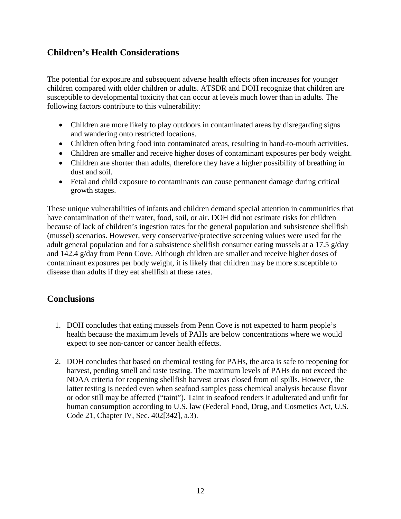## <span id="page-12-0"></span>**Children's Health Considerations**

The potential for exposure and subsequent adverse health effects often increases for younger children compared with older children or adults. ATSDR and DOH recognize that children are susceptible to developmental toxicity that can occur at levels much lower than in adults. The following factors contribute to this vulnerability:

- Children are more likely to play outdoors in contaminated areas by disregarding signs and wandering onto restricted locations.
- Children often bring food into contaminated areas, resulting in hand-to-mouth activities.
- Children are smaller and receive higher doses of contaminant exposures per body weight.
- Children are shorter than adults, therefore they have a higher possibility of breathing in dust and soil.
- Fetal and child exposure to contaminants can cause permanent damage during critical growth stages.

These unique vulnerabilities of infants and children demand special attention in communities that have contamination of their water, food, soil, or air. DOH did not estimate risks for children because of lack of children's ingestion rates for the general population and subsistence shellfish (mussel) scenarios. However, very conservative/protective screening values were used for the adult general population and for a subsistence shellfish consumer eating mussels at a 17.5 g/day and 142.4 g/day from Penn Cove. Although children are smaller and receive higher doses of contaminant exposures per body weight, it is likely that children may be more susceptible to disease than adults if they eat shellfish at these rates.

## <span id="page-12-1"></span>**Conclusions**

- 1. DOH concludes that eating mussels from Penn Cove is not expected to harm people's health because the maximum levels of PAHs are below concentrations where we would expect to see non-cancer or cancer health effects.
- 2. DOH concludes that based on chemical testing for PAHs, the area is safe to reopening for harvest, pending smell and taste testing. The maximum levels of PAHs do not exceed the NOAA criteria for reopening shellfish harvest areas closed from oil spills. However, the latter testing is needed even when seafood samples pass chemical analysis because flavor or odor still may be affected ("taint"). Taint in seafood renders it adulterated and unfit for human consumption according to U.S. law (Federal Food, Drug, and Cosmetics Act, U.S. Code 21, Chapter IV, Sec. 402[342], a.3).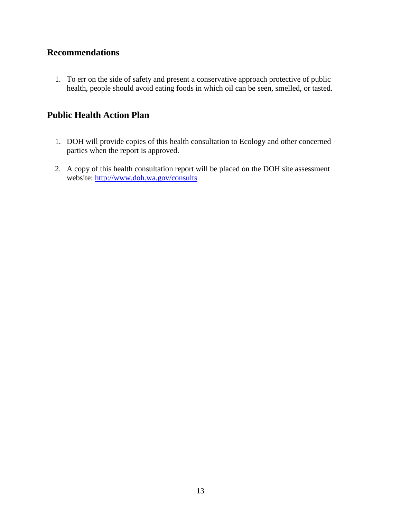## <span id="page-13-0"></span>**Recommendations**

1. To err on the side of safety and present a conservative approach protective of public health, people should avoid eating foods in which oil can be seen, smelled, or tasted.

## <span id="page-13-1"></span>**Public Health Action Plan**

- 1. DOH will provide copies of this health consultation to Ecology and other concerned parties when the report is approved.
- 2. A copy of this health consultation report will be placed on the DOH site assessment website: <http://www.doh.wa.gov/consults>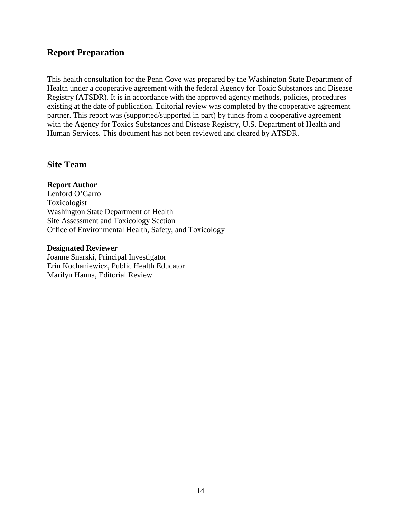## <span id="page-14-0"></span>**Report Preparation**

This health consultation for the Penn Cove was prepared by the Washington State Department of Health under a cooperative agreement with the federal Agency for Toxic Substances and Disease Registry (ATSDR). It is in accordance with the approved agency methods, policies, procedures existing at the date of publication. Editorial review was completed by the cooperative agreement partner. This report was (supported/supported in part) by funds from a cooperative agreement with the Agency for Toxics Substances and Disease Registry, U.S. Department of Health and Human Services. This document has not been reviewed and cleared by ATSDR.

#### **Site Team**

**Report Author** Lenford O'Garro Toxicologist Washington State Department of Health Site Assessment and Toxicology Section Office of Environmental Health, Safety, and Toxicology

#### **Designated Reviewer**

Joanne Snarski, Principal Investigator Erin Kochaniewicz, Public Health Educator Marilyn Hanna, Editorial Review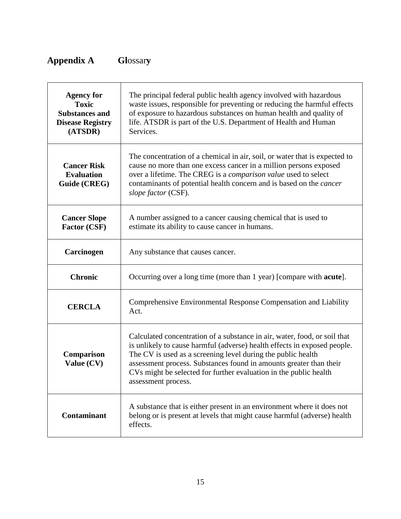# <span id="page-15-0"></span>**Appendix A Gl**ossar**y**

| <b>Agency for</b><br><b>Toxic</b><br><b>Substances and</b><br><b>Disease Registry</b><br>(ATSDR) | The principal federal public health agency involved with hazardous<br>waste issues, responsible for preventing or reducing the harmful effects<br>of exposure to hazardous substances on human health and quality of<br>life. ATSDR is part of the U.S. Department of Health and Human<br>Services.                                                                                     |
|--------------------------------------------------------------------------------------------------|-----------------------------------------------------------------------------------------------------------------------------------------------------------------------------------------------------------------------------------------------------------------------------------------------------------------------------------------------------------------------------------------|
| <b>Cancer Risk</b><br><b>Evaluation</b><br>Guide (CREG)                                          | The concentration of a chemical in air, soil, or water that is expected to<br>cause no more than one excess cancer in a million persons exposed<br>over a lifetime. The CREG is a comparison value used to select<br>contaminants of potential health concern and is based on the <i>cancer</i><br>slope factor (CSF).                                                                  |
| <b>Cancer Slope</b><br><b>Factor (CSF)</b>                                                       | A number assigned to a cancer causing chemical that is used to<br>estimate its ability to cause cancer in humans.                                                                                                                                                                                                                                                                       |
| Carcinogen                                                                                       | Any substance that causes cancer.                                                                                                                                                                                                                                                                                                                                                       |
| <b>Chronic</b>                                                                                   | Occurring over a long time (more than 1 year) [compare with <b>acute</b> ].                                                                                                                                                                                                                                                                                                             |
| <b>CERCLA</b>                                                                                    | Comprehensive Environmental Response Compensation and Liability<br>Act.                                                                                                                                                                                                                                                                                                                 |
| Comparison<br>Value (CV)                                                                         | Calculated concentration of a substance in air, water, food, or soil that<br>is unlikely to cause harmful (adverse) health effects in exposed people.<br>The CV is used as a screening level during the public health<br>assessment process. Substances found in amounts greater than their<br>CVs might be selected for further evaluation in the public health<br>assessment process. |
| <b>Contaminant</b>                                                                               | A substance that is either present in an environment where it does not<br>belong or is present at levels that might cause harmful (adverse) health<br>effects.                                                                                                                                                                                                                          |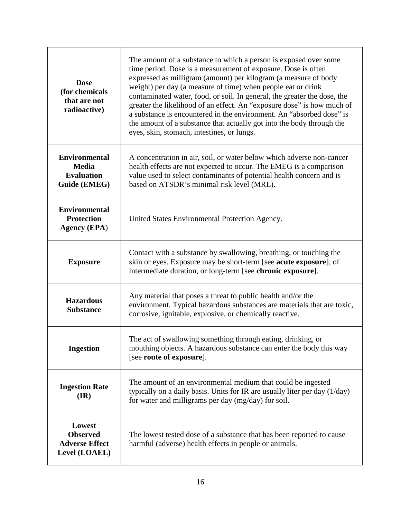| <b>Dose</b><br>(for chemicals<br>that are not<br>radioactive)             | The amount of a substance to which a person is exposed over some<br>time period. Dose is a measurement of exposure. Dose is often<br>expressed as milligram (amount) per kilogram (a measure of body<br>weight) per day (a measure of time) when people eat or drink<br>contaminated water, food, or soil. In general, the greater the dose, the<br>greater the likelihood of an effect. An "exposure dose" is how much of<br>a substance is encountered in the environment. An "absorbed dose" is<br>the amount of a substance that actually got into the body through the<br>eyes, skin, stomach, intestines, or lungs. |
|---------------------------------------------------------------------------|---------------------------------------------------------------------------------------------------------------------------------------------------------------------------------------------------------------------------------------------------------------------------------------------------------------------------------------------------------------------------------------------------------------------------------------------------------------------------------------------------------------------------------------------------------------------------------------------------------------------------|
| <b>Environmental</b><br><b>Media</b><br><b>Evaluation</b><br>Guide (EMEG) | A concentration in air, soil, or water below which adverse non-cancer<br>health effects are not expected to occur. The EMEG is a comparison<br>value used to select contaminants of potential health concern and is<br>based on ATSDR's minimal risk level (MRL).                                                                                                                                                                                                                                                                                                                                                         |
| <b>Environmental</b><br><b>Protection</b><br><b>Agency (EPA)</b>          | United States Environmental Protection Agency.                                                                                                                                                                                                                                                                                                                                                                                                                                                                                                                                                                            |
| <b>Exposure</b>                                                           | Contact with a substance by swallowing, breathing, or touching the<br>skin or eyes. Exposure may be short-term [see acute exposure], of<br>intermediate duration, or long-term [see chronic exposure].                                                                                                                                                                                                                                                                                                                                                                                                                    |
| <b>Hazardous</b><br><b>Substance</b>                                      | Any material that poses a threat to public health and/or the<br>environment. Typical hazardous substances are materials that are toxic,<br>corrosive, ignitable, explosive, or chemically reactive.                                                                                                                                                                                                                                                                                                                                                                                                                       |
| <b>Ingestion</b>                                                          | The act of swallowing something through eating, drinking, or<br>mouthing objects. A hazardous substance can enter the body this way<br>[see route of exposure].                                                                                                                                                                                                                                                                                                                                                                                                                                                           |
| <b>Ingestion Rate</b><br>$(\mathbf{IR})$                                  | The amount of an environmental medium that could be ingested<br>typically on a daily basis. Units for IR are usually liter per day (1/day)<br>for water and milligrams per day (mg/day) for soil.                                                                                                                                                                                                                                                                                                                                                                                                                         |
| Lowest<br><b>Observed</b><br><b>Adverse Effect</b><br>Level (LOAEL)       | The lowest tested dose of a substance that has been reported to cause<br>harmful (adverse) health effects in people or animals.                                                                                                                                                                                                                                                                                                                                                                                                                                                                                           |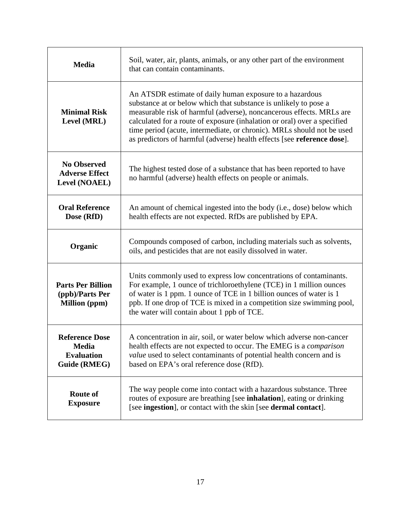| <b>Media</b>                                                               | Soil, water, air, plants, animals, or any other part of the environment<br>that can contain contaminants.                                                                                                                                                                                                                                                                                                                             |
|----------------------------------------------------------------------------|---------------------------------------------------------------------------------------------------------------------------------------------------------------------------------------------------------------------------------------------------------------------------------------------------------------------------------------------------------------------------------------------------------------------------------------|
| <b>Minimal Risk</b><br>Level (MRL)                                         | An ATSDR estimate of daily human exposure to a hazardous<br>substance at or below which that substance is unlikely to pose a<br>measurable risk of harmful (adverse), noncancerous effects. MRLs are<br>calculated for a route of exposure (inhalation or oral) over a specified<br>time period (acute, intermediate, or chronic). MRLs should not be used<br>as predictors of harmful (adverse) health effects [see reference dose]. |
| <b>No Observed</b><br><b>Adverse Effect</b><br><b>Level (NOAEL)</b>        | The highest tested dose of a substance that has been reported to have<br>no harmful (adverse) health effects on people or animals.                                                                                                                                                                                                                                                                                                    |
| <b>Oral Reference</b><br>Dose (RfD)                                        | An amount of chemical ingested into the body (i.e., dose) below which<br>health effects are not expected. RfDs are published by EPA.                                                                                                                                                                                                                                                                                                  |
| Organic                                                                    | Compounds composed of carbon, including materials such as solvents,<br>oils, and pesticides that are not easily dissolved in water.                                                                                                                                                                                                                                                                                                   |
| <b>Parts Per Billion</b><br>(ppb)/Parts Per<br><b>Million</b> (ppm)        | Units commonly used to express low concentrations of contaminants.<br>For example, 1 ounce of trichloroethylene (TCE) in 1 million ounces<br>of water is 1 ppm. 1 ounce of TCE in 1 billion ounces of water is 1<br>ppb. If one drop of TCE is mixed in a competition size swimming pool,<br>the water will contain about 1 ppb of TCE.                                                                                               |
| <b>Reference Dose</b><br><b>Media</b><br><b>Evaluation</b><br>Guide (RMEG) | A concentration in air, soil, or water below which adverse non-cancer<br>health effects are not expected to occur. The EMEG is a <i>comparison</i><br>value used to select contaminants of potential health concern and is<br>based on EPA's oral reference dose (RfD).                                                                                                                                                               |
| <b>Route of</b><br><b>Exposure</b>                                         | The way people come into contact with a hazardous substance. Three<br>routes of exposure are breathing [see <b>inhalation</b> ], eating or drinking<br>[see ingestion], or contact with the skin [see dermal contact].                                                                                                                                                                                                                |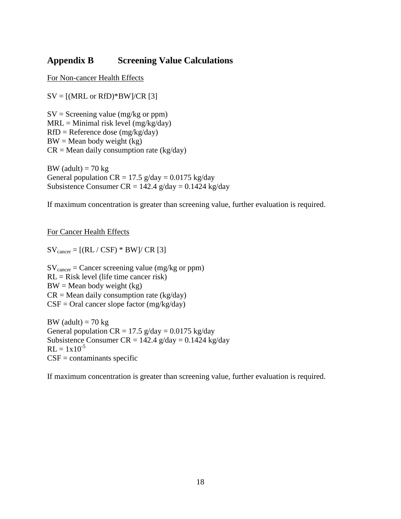## <span id="page-18-0"></span>**Appendix B Screening Value Calculations**

For Non-cancer Health Effects

 $SV = [(MRL or RfD)*BW]/CR [3]$ 

 $SV =$  Screening value (mg/kg or ppm)  $MRL = \text{Minimal risk level (mg/kg/day)}$  $RfD =$ Reference dose (mg/kg/day)  $BW = Mean$  body weight (kg)  $CR = Mean$  daily consumption rate (kg/day)

BW (adult)  $= 70 \text{ kg}$ General population  $CR = 17.5$  g/day = 0.0175 kg/day Subsistence Consumer CR =  $142.4$  g/day = 0.1424 kg/day

If maximum concentration is greater than screening value, further evaluation is required.

For Cancer Health Effects

 $SV_{\text{cancer}} = [(RL / CSF) * BW] / CR [3]$ 

 $SV_{\text{cancer}} = \text{Cancer screening value (mg/kg or ppm)}$  $RL = Risk$  level (life time cancer risk)  $BW = Mean$  body weight (kg)  $CR = Mean$  daily consumption rate (kg/day)  $CSF =$  Oral cancer slope factor (mg/kg/day)

BW (adult)  $= 70 \text{ kg}$ General population  $CR = 17.5$  g/day = 0.0175 kg/day Subsistence Consumer CR =  $142.4$  g/day = 0.1424 kg/day  $RL = 1x10^{-5}$  $CSF =$  contaminants specific

If maximum concentration is greater than screening value, further evaluation is required.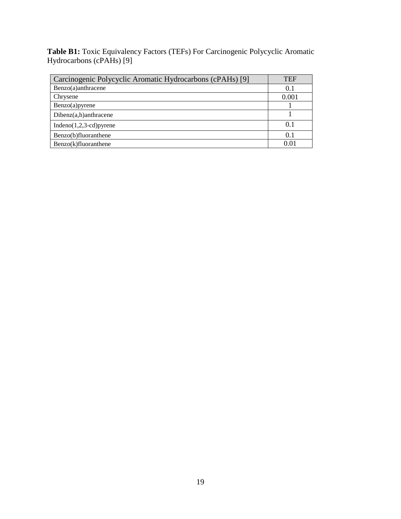**Table B1:** Toxic Equivalency Factors (TEFs) For Carcinogenic Polycyclic Aromatic Hydrocarbons (cPAHs) [9]

| Carcinogenic Polycyclic Aromatic Hydrocarbons (cPAHs) [9] | TEF   |
|-----------------------------------------------------------|-------|
| Benzo(a)anthracene                                        | 0.1   |
| Chrysene                                                  | 0.001 |
| Benzo(a)pyrene                                            |       |
| Dibenz(a,h)anthracene                                     |       |
| $Indeno(1,2,3-cd)pyrene$                                  | 0.1   |
| Benzo(b)fluoranthene                                      | 0.1   |
| Benzo(k)fluoranthene                                      | 0.01  |